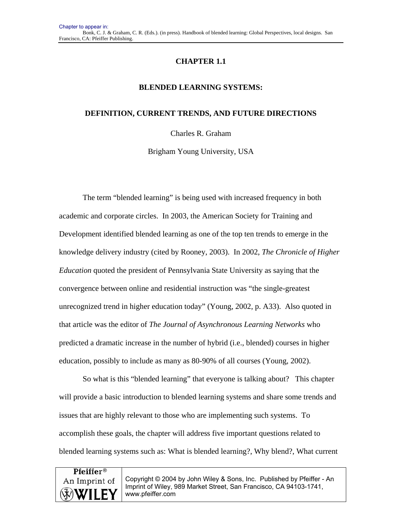# **CHAPTER 1.1**

## **BLENDED LEARNING SYSTEMS:**

## **DEFINITION, CURRENT TRENDS, AND FUTURE DIRECTIONS**

Charles R. Graham

Brigham Young University, USA

The term "blended learning" is being used with increased frequency in both academic and corporate circles. In 2003, the American Society for Training and Development identified blended learning as one of the top ten trends to emerge in the knowledge delivery industry (cited by Rooney, 2003). In 2002, *The Chronicle of Higher Education* quoted the president of Pennsylvania State University as saying that the convergence between online and residential instruction was "the single-greatest unrecognized trend in higher education today" (Young, 2002, p. A33). Also quoted in that article was the editor of *The Journal of Asynchronous Learning Networks* who predicted a dramatic increase in the number of hybrid (i.e., blended) courses in higher education, possibly to include as many as 80-90% of all courses (Young, 2002).

So what is this "blended learning" that everyone is talking about? This chapter will provide a basic introduction to blended learning systems and share some trends and issues that are highly relevant to those who are implementing such systems. To accomplish these goals, the chapter will address five important questions related to blended learning systems such as: What is blended learning?, Why blend?, What current

| <b>Pfeiffer</b> <sup>®</sup> |                                                                                                                                                                  |
|------------------------------|------------------------------------------------------------------------------------------------------------------------------------------------------------------|
| An Imprint of<br>WILEY       | Copyright © 2004 by John Wiley & Sons, Inc. Published by Pfeiffer - An<br>Imprint of Wiley, 989 Market Street, San Francisco, CA 94103-1741,<br>www.pfeiffer.com |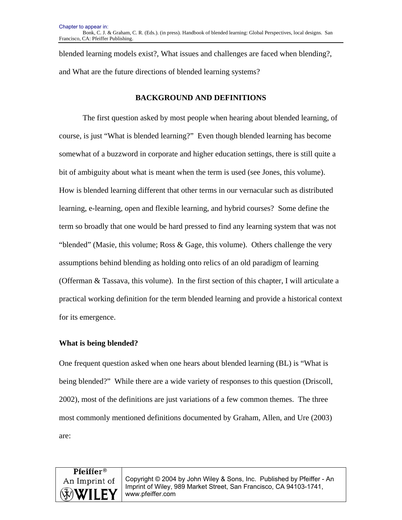blended learning models exist?, What issues and challenges are faced when blending?, and What are the future directions of blended learning systems?

### **BACKGROUND AND DEFINITIONS**

The first question asked by most people when hearing about blended learning, of course, is just "What is blended learning?" Even though blended learning has become somewhat of a buzzword in corporate and higher education settings, there is still quite a bit of ambiguity about what is meant when the term is used (see Jones, this volume). How is blended learning different that other terms in our vernacular such as distributed learning, e-learning, open and flexible learning, and hybrid courses? Some define the term so broadly that one would be hard pressed to find any learning system that was not "blended" (Masie, this volume; Ross  $\&$  Gage, this volume). Others challenge the very assumptions behind blending as holding onto relics of an old paradigm of learning (Offerman & Tassava, this volume). In the first section of this chapter, I will articulate a practical working definition for the term blended learning and provide a historical context for its emergence.

#### **What is being blended?**

One frequent question asked when one hears about blended learning (BL) is "What is being blended?" While there are a wide variety of responses to this question (Driscoll, 2002), most of the definitions are just variations of a few common themes. The three most commonly mentioned definitions documented by Graham, Allen, and Ure (2003) are:

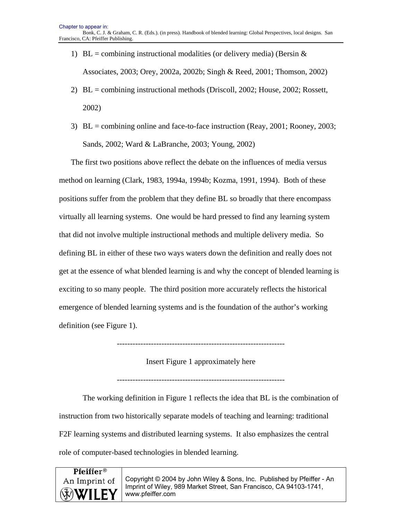- 1) BL = combining instructional modalities (or delivery media) (Bersin  $\&$ Associates, 2003; Orey, 2002a, 2002b; Singh & Reed, 2001; Thomson, 2002)
- 2) BL = combining instructional methods (Driscoll, 2002; House, 2002; Rossett, 2002)
- 3) BL = combining online and face-to-face instruction (Reay, 2001; Rooney, 2003; Sands, 2002; Ward & LaBranche, 2003; Young, 2002)

The first two positions above reflect the debate on the influences of media versus method on learning (Clark, 1983, 1994a, 1994b; Kozma, 1991, 1994). Both of these positions suffer from the problem that they define BL so broadly that there encompass virtually all learning systems. One would be hard pressed to find any learning system that did not involve multiple instructional methods and multiple delivery media. So defining BL in either of these two ways waters down the definition and really does not get at the essence of what blended learning is and why the concept of blended learning is exciting to so many people. The third position more accurately reflects the historical emergence of blended learning systems and is the foundation of the author's working definition (see Figure 1).

----------------------------------------------------------------

Insert Figure 1 approximately here

----------------------------------------------------------------

The working definition in Figure 1 reflects the idea that BL is the combination of instruction from two historically separate models of teaching and learning: traditional F2F learning systems and distributed learning systems. It also emphasizes the central role of computer-based technologies in blended learning.

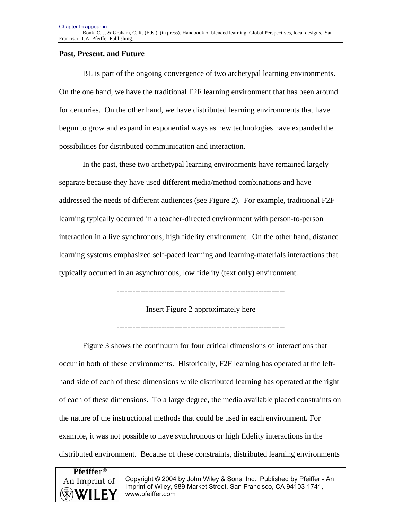## **Past, Present, and Future**

BL is part of the ongoing convergence of two archetypal learning environments. On the one hand, we have the traditional F2F learning environment that has been around for centuries. On the other hand, we have distributed learning environments that have begun to grow and expand in exponential ways as new technologies have expanded the possibilities for distributed communication and interaction.

In the past, these two archetypal learning environments have remained largely separate because they have used different media/method combinations and have addressed the needs of different audiences (see Figure 2). For example, traditional F2F learning typically occurred in a teacher-directed environment with person-to-person interaction in a live synchronous, high fidelity environment. On the other hand, distance learning systems emphasized self-paced learning and learning-materials interactions that typically occurred in an asynchronous, low fidelity (text only) environment.

----------------------------------------------------------------

Insert Figure 2 approximately here

----------------------------------------------------------------

Figure 3 shows the continuum for four critical dimensions of interactions that occur in both of these environments. Historically, F2F learning has operated at the lefthand side of each of these dimensions while distributed learning has operated at the right of each of these dimensions. To a large degree, the media available placed constraints on the nature of the instructional methods that could be used in each environment. For example, it was not possible to have synchronous or high fidelity interactions in the distributed environment. Because of these constraints, distributed learning environments

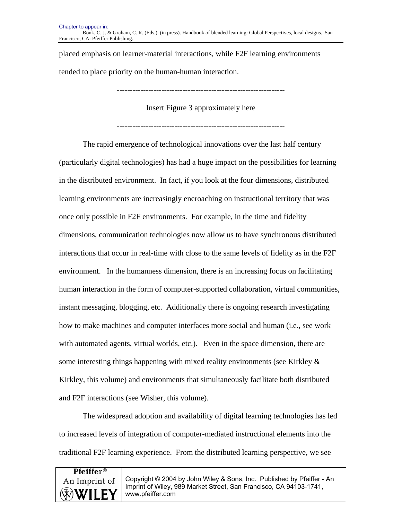placed emphasis on learner-material interactions, while F2F learning environments tended to place priority on the human-human interaction.

----------------------------------------------------------------

Insert Figure 3 approximately here

The rapid emergence of technological innovations over the last half century (particularly digital technologies) has had a huge impact on the possibilities for learning in the distributed environment. In fact, if you look at the four dimensions, distributed learning environments are increasingly encroaching on instructional territory that was once only possible in F2F environments. For example, in the time and fidelity dimensions, communication technologies now allow us to have synchronous distributed interactions that occur in real-time with close to the same levels of fidelity as in the F2F environment. In the humanness dimension, there is an increasing focus on facilitating human interaction in the form of computer-supported collaboration, virtual communities, instant messaging, blogging, etc. Additionally there is ongoing research investigating how to make machines and computer interfaces more social and human (i.e., see work with automated agents, virtual worlds, etc.). Even in the space dimension, there are some interesting things happening with mixed reality environments (see Kirkley  $\&$ Kirkley, this volume) and environments that simultaneously facilitate both distributed and F2F interactions (see Wisher, this volume).

The widespread adoption and availability of digital learning technologies has led to increased levels of integration of computer-mediated instructional elements into the traditional F2F learning experience. From the distributed learning perspective, we see

| <b>Pfeiffer</b> <sup>®</sup> |                                                                                        |
|------------------------------|----------------------------------------------------------------------------------------|
| An Imprint of                | Copyright © 2004 by John Wiley & Sons, Inc. Published by Pfeiffer - An                 |
| <b>WILEY</b>                 | Imprint of Wiley, 989 Market Street, San Francisco, CA 94103-1741,<br>www.pfeiffer.com |
|                              |                                                                                        |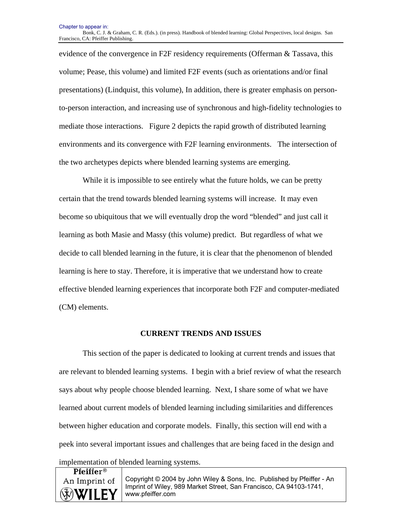evidence of the convergence in F2F residency requirements (Offerman & Tassava, this volume; Pease, this volume) and limited F2F events (such as orientations and/or final presentations) (Lindquist, this volume), In addition, there is greater emphasis on personto-person interaction, and increasing use of synchronous and high-fidelity technologies to mediate those interactions. Figure 2 depicts the rapid growth of distributed learning environments and its convergence with F2F learning environments. The intersection of the two archetypes depicts where blended learning systems are emerging.

While it is impossible to see entirely what the future holds, we can be pretty certain that the trend towards blended learning systems will increase. It may even become so ubiquitous that we will eventually drop the word "blended" and just call it learning as both Masie and Massy (this volume) predict. But regardless of what we decide to call blended learning in the future, it is clear that the phenomenon of blended learning is here to stay. Therefore, it is imperative that we understand how to create effective blended learning experiences that incorporate both F2F and computer-mediated (CM) elements.

#### **CURRENT TRENDS AND ISSUES**

This section of the paper is dedicated to looking at current trends and issues that are relevant to blended learning systems. I begin with a brief review of what the research says about why people choose blended learning. Next, I share some of what we have learned about current models of blended learning including similarities and differences between higher education and corporate models. Finally, this section will end with a peek into several important issues and challenges that are being faced in the design and implementation of blended learning systems.

**Pfeiffer**<sup>®</sup> An Imprint of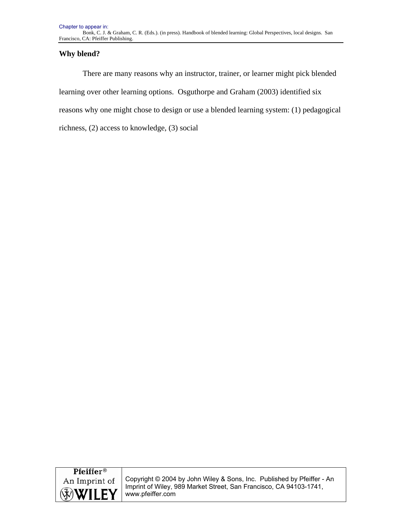## **Why blend?**

There are many reasons why an instructor, trainer, or learner might pick blended learning over other learning options. Osguthorpe and Graham (2003) identified six reasons why one might chose to design or use a blended learning system: (1) pedagogical richness, (2) access to knowledge, (3) social

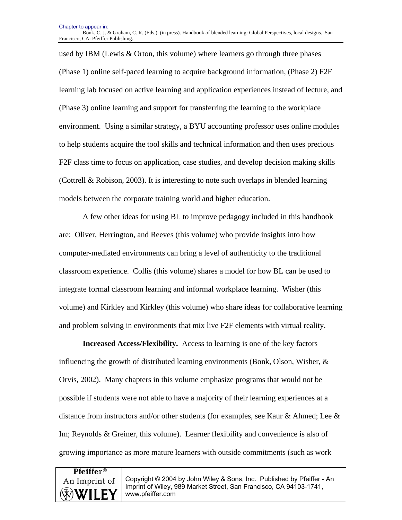used by IBM (Lewis & Orton, this volume) where learners go through three phases (Phase 1) online self-paced learning to acquire background information, (Phase 2) F2F learning lab focused on active learning and application experiences instead of lecture, and (Phase 3) online learning and support for transferring the learning to the workplace environment. Using a similar strategy, a BYU accounting professor uses online modules to help students acquire the tool skills and technical information and then uses precious F2F class time to focus on application, case studies, and develop decision making skills (Cottrell & Robison, 2003). It is interesting to note such overlaps in blended learning models between the corporate training world and higher education.

A few other ideas for using BL to improve pedagogy included in this handbook are: Oliver, Herrington, and Reeves (this volume) who provide insights into how computer-mediated environments can bring a level of authenticity to the traditional classroom experience. Collis (this volume) shares a model for how BL can be used to integrate formal classroom learning and informal workplace learning. Wisher (this volume) and Kirkley and Kirkley (this volume) who share ideas for collaborative learning and problem solving in environments that mix live F2F elements with virtual reality.

**Increased Access/Flexibility.** Access to learning is one of the key factors influencing the growth of distributed learning environments (Bonk, Olson, Wisher,  $\&$ Orvis, 2002). Many chapters in this volume emphasize programs that would not be possible if students were not able to have a majority of their learning experiences at a distance from instructors and/or other students (for examples, see Kaur & Ahmed; Lee & Im; Reynolds & Greiner, this volume). Learner flexibility and convenience is also of growing importance as more mature learners with outside commitments (such as work

# **Pfeiffer**<sup>®</sup> An Imprint of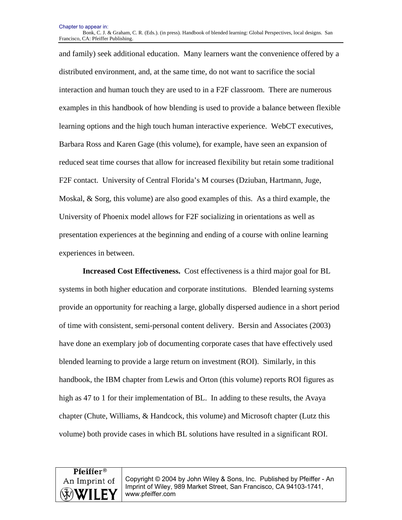Chapter to appear in: Bonk, C. J. & Graham, C. R. (Eds.). (in press). Handbook of blended learning: Global Perspectives, local designs. San Francisco, CA: Pfeiffer Publishing.

and family) seek additional education. Many learners want the convenience offered by a distributed environment, and, at the same time, do not want to sacrifice the social interaction and human touch they are used to in a F2F classroom. There are numerous examples in this handbook of how blending is used to provide a balance between flexible learning options and the high touch human interactive experience. WebCT executives, Barbara Ross and Karen Gage (this volume), for example, have seen an expansion of reduced seat time courses that allow for increased flexibility but retain some traditional F2F contact. University of Central Florida's M courses (Dziuban, Hartmann, Juge, Moskal, & Sorg, this volume) are also good examples of this. As a third example, the University of Phoenix model allows for F2F socializing in orientations as well as presentation experiences at the beginning and ending of a course with online learning experiences in between.

**Increased Cost Effectiveness.** Cost effectiveness is a third major goal for BL systems in both higher education and corporate institutions. Blended learning systems provide an opportunity for reaching a large, globally dispersed audience in a short period of time with consistent, semi-personal content delivery. Bersin and Associates (2003) have done an exemplary job of documenting corporate cases that have effectively used blended learning to provide a large return on investment (ROI). Similarly, in this handbook, the IBM chapter from Lewis and Orton (this volume) reports ROI figures as high as 47 to 1 for their implementation of BL. In adding to these results, the Avaya chapter (Chute, Williams, & Handcock, this volume) and Microsoft chapter (Lutz this volume) both provide cases in which BL solutions have resulted in a significant ROI.

**Pfeiffer®** An Imprint of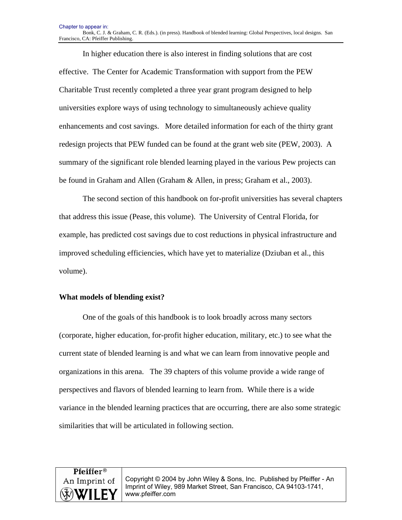In higher education there is also interest in finding solutions that are cost effective. The Center for Academic Transformation with support from the PEW Charitable Trust recently completed a three year grant program designed to help universities explore ways of using technology to simultaneously achieve quality enhancements and cost savings. More detailed information for each of the thirty grant redesign projects that PEW funded can be found at the grant web site (PEW, 2003). A summary of the significant role blended learning played in the various Pew projects can be found in Graham and Allen (Graham & Allen, in press; Graham et al., 2003).

The second section of this handbook on for-profit universities has several chapters that address this issue (Pease, this volume). The University of Central Florida, for example, has predicted cost savings due to cost reductions in physical infrastructure and improved scheduling efficiencies, which have yet to materialize (Dziuban et al., this volume).

#### **What models of blending exist?**

One of the goals of this handbook is to look broadly across many sectors (corporate, higher education, for-profit higher education, military, etc.) to see what the current state of blended learning is and what we can learn from innovative people and organizations in this arena. The 39 chapters of this volume provide a wide range of perspectives and flavors of blended learning to learn from. While there is a wide variance in the blended learning practices that are occurring, there are also some strategic similarities that will be articulated in following section.

# Pfeiffer® An Imprint of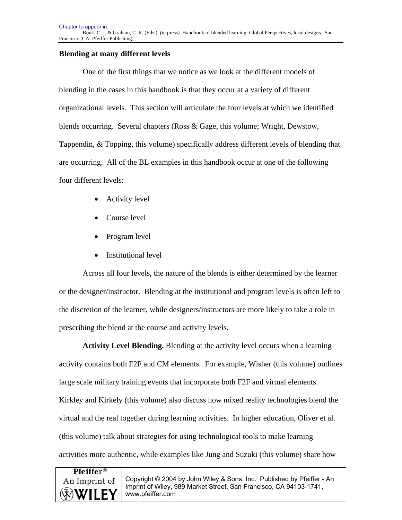## **Blending at many different levels**

One of the first things that we notice as we look at the different models of blending in the cases in this handbook is that they occur at a variety of different organizational levels. This section will articulate the four levels at which we identified blends occurring. Several chapters (Ross & Gage, this volume; Wright, Dewstow, Tappendin, & Topping, this volume) specifically address different levels of blending that are occurring. All of the BL examples in this handbook occur at one of the following four different levels:

- Activity level
- Course level
- Program level
- Institutional level

Across all four levels, the nature of the blends is either determined by the learner or the designer/instructor. Blending at the institutional and program levels is often left to the discretion of the learner, while designers/instructors are more likely to take a role in prescribing the blend at the course and activity levels.

**Activity Level Blending.** Blending at the activity level occurs when a learning activity contains both F2F and CM elements. For example, Wisher (this volume) outlines large scale military training events that incorporate both F2F and virtual elements. Kirkley and Kirkely (this volume) also discuss how mixed reality technologies blend the virtual and the real together during learning activities. In higher education, Oliver et al. (this volume) talk about strategies for using technological tools to make learning activities more authentic, while examples like Jung and Suzuki (this volume) share how

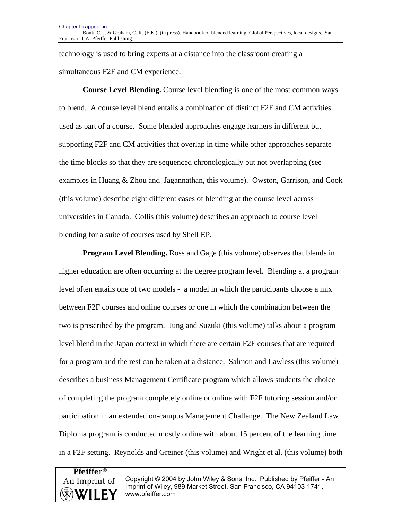technology is used to bring experts at a distance into the classroom creating a simultaneous F2F and CM experience.

**Course Level Blending.** Course level blending is one of the most common ways to blend. A course level blend entails a combination of distinct F2F and CM activities used as part of a course. Some blended approaches engage learners in different but supporting F2F and CM activities that overlap in time while other approaches separate the time blocks so that they are sequenced chronologically but not overlapping (see examples in Huang & Zhou and Jagannathan, this volume). Owston, Garrison, and Cook (this volume) describe eight different cases of blending at the course level across universities in Canada. Collis (this volume) describes an approach to course level blending for a suite of courses used by Shell EP.

**Program Level Blending.** Ross and Gage (this volume) observes that blends in higher education are often occurring at the degree program level. Blending at a program level often entails one of two models - a model in which the participants choose a mix between F2F courses and online courses or one in which the combination between the two is prescribed by the program. Jung and Suzuki (this volume) talks about a program level blend in the Japan context in which there are certain F2F courses that are required for a program and the rest can be taken at a distance. Salmon and Lawless (this volume) describes a business Management Certificate program which allows students the choice of completing the program completely online or online with F2F tutoring session and/or participation in an extended on-campus Management Challenge. The New Zealand Law Diploma program is conducted mostly online with about 15 percent of the learning time in a F2F setting. Reynolds and Greiner (this volume) and Wright et al. (this volume) both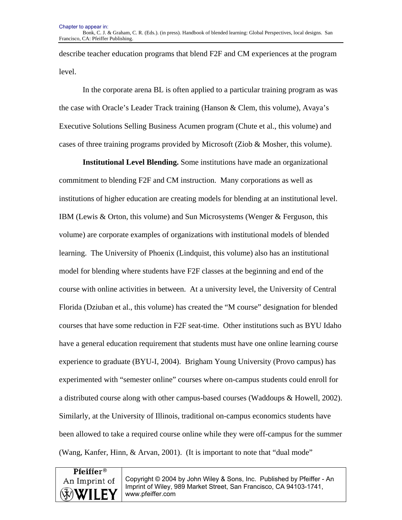describe teacher education programs that blend F2F and CM experiences at the program level.

In the corporate arena BL is often applied to a particular training program as was the case with Oracle's Leader Track training (Hanson & Clem, this volume), Avaya's Executive Solutions Selling Business Acumen program (Chute et al., this volume) and cases of three training programs provided by Microsoft (Ziob & Mosher, this volume).

**Institutional Level Blending.** Some institutions have made an organizational commitment to blending F2F and CM instruction. Many corporations as well as institutions of higher education are creating models for blending at an institutional level. IBM (Lewis & Orton, this volume) and Sun Microsystems (Wenger & Ferguson, this volume) are corporate examples of organizations with institutional models of blended learning. The University of Phoenix (Lindquist, this volume) also has an institutional model for blending where students have F2F classes at the beginning and end of the course with online activities in between. At a university level, the University of Central Florida (Dziuban et al., this volume) has created the "M course" designation for blended courses that have some reduction in F2F seat-time. Other institutions such as BYU Idaho have a general education requirement that students must have one online learning course experience to graduate (BYU-I, 2004). Brigham Young University (Provo campus) has experimented with "semester online" courses where on-campus students could enroll for a distributed course along with other campus-based courses (Waddoups & Howell, 2002). Similarly, at the University of Illinois, traditional on-campus economics students have been allowed to take a required course online while they were off-campus for the summer (Wang, Kanfer, Hinn, & Arvan, 2001). (It is important to note that "dual mode"

Pfeiffer<sup>®</sup> An Imprint of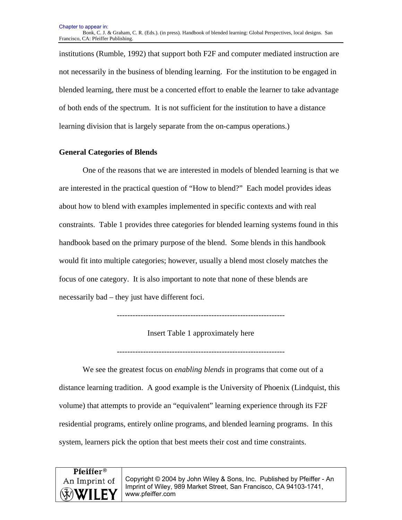Chapter to appear in: Bonk, C. J. & Graham, C. R. (Eds.). (in press). Handbook of blended learning: Global Perspectives, local designs. San Francisco, CA: Pfeiffer Publishing.

institutions (Rumble, 1992) that support both F2F and computer mediated instruction are not necessarily in the business of blending learning. For the institution to be engaged in blended learning, there must be a concerted effort to enable the learner to take advantage of both ends of the spectrum. It is not sufficient for the institution to have a distance learning division that is largely separate from the on-campus operations.)

#### **General Categories of Blends**

One of the reasons that we are interested in models of blended learning is that we are interested in the practical question of "How to blend?" Each model provides ideas about how to blend with examples implemented in specific contexts and with real constraints. Table 1 provides three categories for blended learning systems found in this handbook based on the primary purpose of the blend. Some blends in this handbook would fit into multiple categories; however, usually a blend most closely matches the focus of one category. It is also important to note that none of these blends are necessarily bad – they just have different foci.

----------------------------------------------------------------

Insert Table 1 approximately here

----------------------------------------------------------------

We see the greatest focus on *enabling blends* in programs that come out of a distance learning tradition. A good example is the University of Phoenix (Lindquist, this volume) that attempts to provide an "equivalent" learning experience through its F2F residential programs, entirely online programs, and blended learning programs. In this system, learners pick the option that best meets their cost and time constraints.

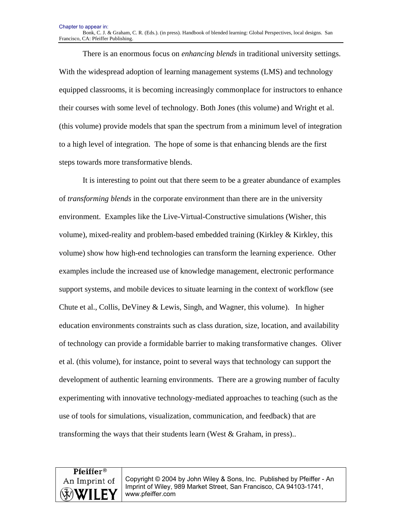There is an enormous focus on *enhancing blends* in traditional university settings. With the widespread adoption of learning management systems (LMS) and technology equipped classrooms, it is becoming increasingly commonplace for instructors to enhance their courses with some level of technology. Both Jones (this volume) and Wright et al. (this volume) provide models that span the spectrum from a minimum level of integration to a high level of integration. The hope of some is that enhancing blends are the first steps towards more transformative blends.

It is interesting to point out that there seem to be a greater abundance of examples of *transforming blends* in the corporate environment than there are in the university environment. Examples like the Live-Virtual-Constructive simulations (Wisher, this volume), mixed-reality and problem-based embedded training (Kirkley & Kirkley, this volume) show how high-end technologies can transform the learning experience. Other examples include the increased use of knowledge management, electronic performance support systems, and mobile devices to situate learning in the context of workflow (see Chute et al., Collis, DeViney & Lewis, Singh, and Wagner, this volume). In higher education environments constraints such as class duration, size, location, and availability of technology can provide a formidable barrier to making transformative changes. Oliver et al. (this volume), for instance, point to several ways that technology can support the development of authentic learning environments. There are a growing number of faculty experimenting with innovative technology-mediated approaches to teaching (such as the use of tools for simulations, visualization, communication, and feedback) that are transforming the ways that their students learn (West & Graham, in press)..

# **Pfeiffer**<sup>®</sup> An Imprint of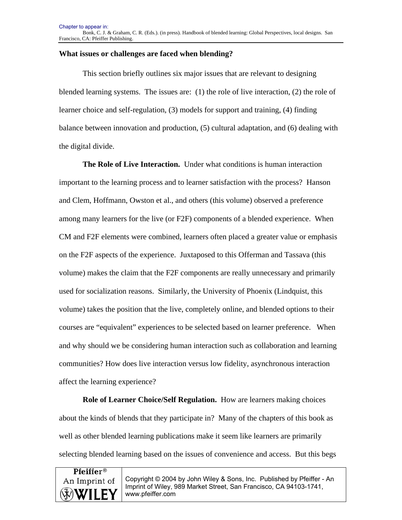## **What issues or challenges are faced when blending?**

This section briefly outlines six major issues that are relevant to designing blended learning systems. The issues are: (1) the role of live interaction, (2) the role of learner choice and self-regulation, (3) models for support and training, (4) finding balance between innovation and production, (5) cultural adaptation, and (6) dealing with the digital divide.

**The Role of Live Interaction.** Under what conditions is human interaction important to the learning process and to learner satisfaction with the process? Hanson and Clem, Hoffmann, Owston et al., and others (this volume) observed a preference among many learners for the live (or F2F) components of a blended experience. When CM and F2F elements were combined, learners often placed a greater value or emphasis on the F2F aspects of the experience. Juxtaposed to this Offerman and Tassava (this volume) makes the claim that the F2F components are really unnecessary and primarily used for socialization reasons. Similarly, the University of Phoenix (Lindquist, this volume) takes the position that the live, completely online, and blended options to their courses are "equivalent" experiences to be selected based on learner preference. When and why should we be considering human interaction such as collaboration and learning communities? How does live interaction versus low fidelity, asynchronous interaction affect the learning experience?

**Role of Learner Choice/Self Regulation.** How are learners making choices about the kinds of blends that they participate in? Many of the chapters of this book as well as other blended learning publications make it seem like learners are primarily selecting blended learning based on the issues of convenience and access. But this begs

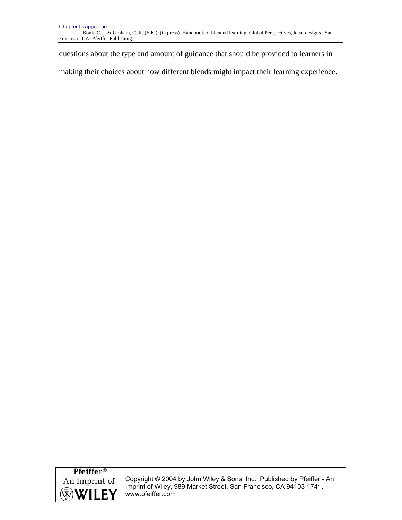questions about the type and amount of guidance that should be provided to learners in

making their choices about how different blends might impact their learning experience.

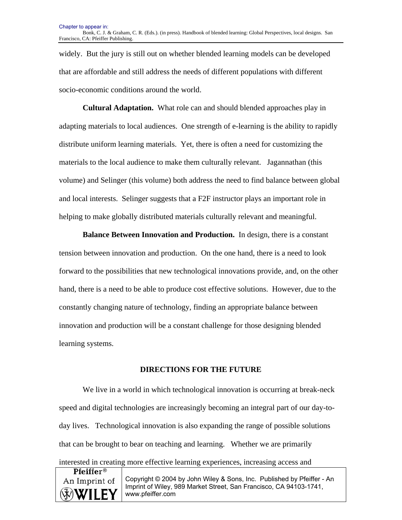widely. But the jury is still out on whether blended learning models can be developed that are affordable and still address the needs of different populations with different socio-economic conditions around the world.

**Cultural Adaptation.** What role can and should blended approaches play in adapting materials to local audiences. One strength of e-learning is the ability to rapidly distribute uniform learning materials. Yet, there is often a need for customizing the materials to the local audience to make them culturally relevant. Jagannathan (this volume) and Selinger (this volume) both address the need to find balance between global and local interests. Selinger suggests that a F2F instructor plays an important role in helping to make globally distributed materials culturally relevant and meaningful.

**Balance Between Innovation and Production.** In design, there is a constant tension between innovation and production. On the one hand, there is a need to look forward to the possibilities that new technological innovations provide, and, on the other hand, there is a need to be able to produce cost effective solutions. However, due to the constantly changing nature of technology, finding an appropriate balance between innovation and production will be a constant challenge for those designing blended learning systems.

#### **DIRECTIONS FOR THE FUTURE**

We live in a world in which technological innovation is occurring at break-neck speed and digital technologies are increasingly becoming an integral part of our day-today lives. Technological innovation is also expanding the range of possible solutions that can be brought to bear on teaching and learning. Whether we are primarily

|  | interested in creating more effective learning experiences, increasing access and |  |  |
|--|-----------------------------------------------------------------------------------|--|--|
|  |                                                                                   |  |  |
|  |                                                                                   |  |  |

| <b>Pfeiffer</b> <sup>®</sup> |                                                                                        |
|------------------------------|----------------------------------------------------------------------------------------|
| An Imprint of                | Copyright © 2004 by John Wiley & Sons, Inc. Published by Pfeiffer - An                 |
| WILEY                        | Imprint of Wiley, 989 Market Street, San Francisco, CA 94103-1741,<br>www.pfeiffer.com |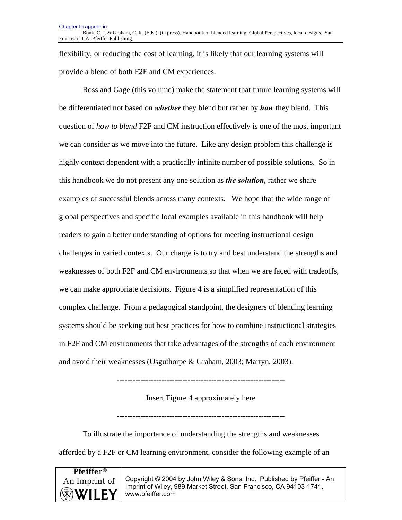flexibility, or reducing the cost of learning, it is likely that our learning systems will provide a blend of both F2F and CM experiences.

Ross and Gage (this volume) make the statement that future learning systems will be differentiated not based on *whether* they blend but rather by *how* they blend. This question of *how to blend* F2F and CM instruction effectively is one of the most important we can consider as we move into the future. Like any design problem this challenge is highly context dependent with a practically infinite number of possible solutions. So in this handbook we do not present any one solution as *the solution,* rather we share examples of successful blends across many contexts*.* We hope that the wide range of global perspectives and specific local examples available in this handbook will help readers to gain a better understanding of options for meeting instructional design challenges in varied contexts. Our charge is to try and best understand the strengths and weaknesses of both F2F and CM environments so that when we are faced with tradeoffs, we can make appropriate decisions. Figure 4 is a simplified representation of this complex challenge. From a pedagogical standpoint, the designers of blending learning systems should be seeking out best practices for how to combine instructional strategies in F2F and CM environments that take advantages of the strengths of each environment and avoid their weaknesses (Osguthorpe & Graham, 2003; Martyn, 2003).

----------------------------------------------------------------

Insert Figure 4 approximately here

---------------------------------------------------------------- To illustrate the importance of understanding the strengths and weaknesses

afforded by a F2F or CM learning environment, consider the following example of an

| <b>Pfeiffer</b> <sup>®</sup> |                                                                                        |
|------------------------------|----------------------------------------------------------------------------------------|
| An Imprint of                | Copyright © 2004 by John Wiley & Sons, Inc. Published by Pfeiffer - An                 |
| WILEY                        | Imprint of Wiley, 989 Market Street, San Francisco, CA 94103-1741,<br>www.pfeiffer.com |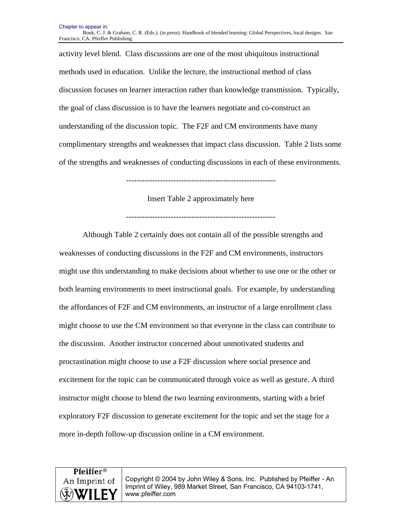Chapter to appear in: Bonk, C. J. & Graham, C. R. (Eds.). (in press). Handbook of blended learning: Global Perspectives, local designs. San Francisco, CA: Pfeiffer Publishing.

activity level blend. Class discussions are one of the most ubiquitous instructional methods used in education. Unlike the lecture, the instructional method of class discussion focuses on learner interaction rather than knowledge transmission. Typically, the goal of class discussion is to have the learners negotiate and co-construct an understanding of the discussion topic. The F2F and CM environments have many complimentary strengths and weaknesses that impact class discussion. Table 2 lists some of the strengths and weaknesses of conducting discussions in each of these environments.

---------------------------------------------------------

#### Insert Table 2 approximately here

---------------------------------------------------------

Although Table 2 certainly does not contain all of the possible strengths and weaknesses of conducting discussions in the F2F and CM environments, instructors might use this understanding to make decisions about whether to use one or the other or both learning environments to meet instructional goals. For example, by understanding the affordances of F2F and CM environments, an instructor of a large enrollment class might choose to use the CM environment so that everyone in the class can contribute to the discussion. Another instructor concerned about unmotivated students and procrastination might choose to use a F2F discussion where social presence and excitement for the topic can be communicated through voice as well as gesture. A third instructor might choose to blend the two learning environments, starting with a brief exploratory F2F discussion to generate excitement for the topic and set the stage for a more in-depth follow-up discussion online in a CM environment.

# **Pfeiffer**<sup>®</sup> An Imprint of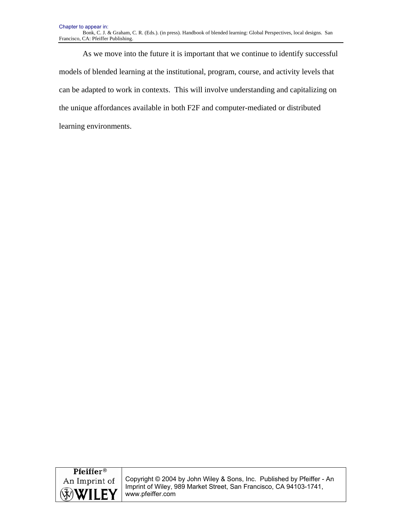As we move into the future it is important that we continue to identify successful models of blended learning at the institutional, program, course, and activity levels that can be adapted to work in contexts. This will involve understanding and capitalizing on the unique affordances available in both F2F and computer-mediated or distributed learning environments.

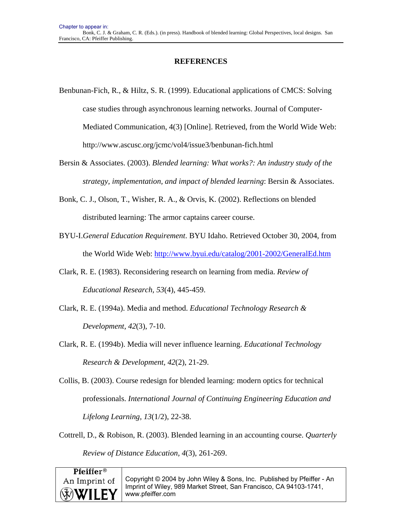## **REFERENCES**

- Benbunan-Fich, R., & Hiltz, S. R. (1999). Educational applications of CMCS: Solving case studies through asynchronous learning networks. Journal of Computer-Mediated Communication, 4(3) [Online]. Retrieved, from the World Wide Web: http://www.ascusc.org/jcmc/vol4/issue3/benbunan-fich.html
- Bersin & Associates. (2003). *Blended learning: What works?: An industry study of the strategy, implementation, and impact of blended learning*: Bersin & Associates.
- Bonk, C. J., Olson, T., Wisher, R. A., & Orvis, K. (2002). Reflections on blended distributed learning: The armor captains career course.
- BYU-I.*General Education Requirement*. BYU Idaho. Retrieved October 30, 2004, from the World Wide Web: http://www.byui.edu/catalog/2001-2002/GeneralEd.htm
- Clark, R. E. (1983). Reconsidering research on learning from media. *Review of Educational Research, 53*(4), 445-459.
- Clark, R. E. (1994a). Media and method. *Educational Technology Research & Development, 42*(3), 7-10.
- Clark, R. E. (1994b). Media will never influence learning. *Educational Technology Research & Development, 42*(2), 21-29.
- Collis, B. (2003). Course redesign for blended learning: modern optics for technical professionals. *International Journal of Continuing Engineering Education and Lifelong Learning, 13*(1/2), 22-38.
- Cottrell, D., & Robison, R. (2003). Blended learning in an accounting course. *Quarterly Review of Distance Education, 4*(3), 261-269.

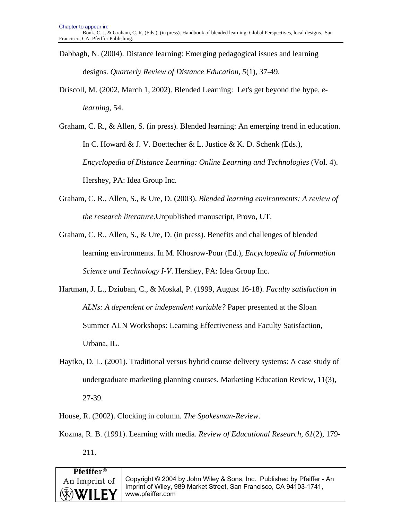- Dabbagh, N. (2004). Distance learning: Emerging pedagogical issues and learning designs. *Quarterly Review of Distance Education, 5*(1), 37-49.
- Driscoll, M. (2002, March 1, 2002). Blended Learning: Let's get beyond the hype. *elearning,* 54.
- Graham, C. R., & Allen, S. (in press). Blended learning: An emerging trend in education. In C. Howard & J. V. Boettecher & L. Justice & K. D. Schenk (Eds.), *Encyclopedia of Distance Learning: Online Learning and Technologies* (Vol. 4). Hershey, PA: Idea Group Inc.
- Graham, C. R., Allen, S., & Ure, D. (2003). *Blended learning environments: A review of the research literature*.Unpublished manuscript, Provo, UT.
- Graham, C. R., Allen, S., & Ure, D. (in press). Benefits and challenges of blended learning environments. In M. Khosrow-Pour (Ed.), *Encyclopedia of Information Science and Technology I-V*. Hershey, PA: Idea Group Inc.
- Hartman, J. L., Dziuban, C., & Moskal, P. (1999, August 16-18). *Faculty satisfaction in ALNs: A dependent or independent variable?* Paper presented at the Sloan Summer ALN Workshops: Learning Effectiveness and Faculty Satisfaction, Urbana, IL.
- Haytko, D. L. (2001). Traditional versus hybrid course delivery systems: A case study of undergraduate marketing planning courses. Marketing Education Review, 11(3), 27-39.
- House, R. (2002). Clocking in column*. The Spokesman-Review*.
- Kozma, R. B. (1991). Learning with media. *Review of Educational Research, 61*(2), 179- 211.

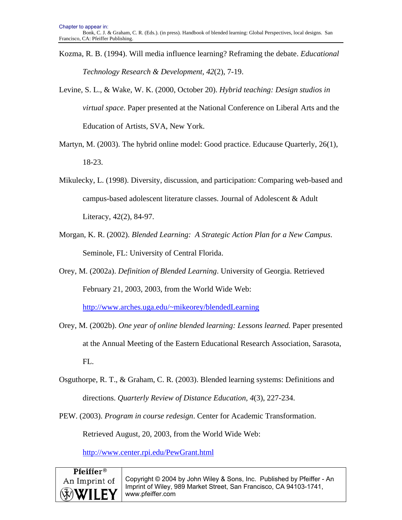Kozma, R. B. (1994). Will media influence learning? Reframing the debate. *Educational Technology Research & Development, 42*(2), 7-19.

Levine, S. L., & Wake, W. K. (2000, October 20). *Hybrid teaching: Design studios in virtual space.* Paper presented at the National Conference on Liberal Arts and the Education of Artists, SVA, New York.

- Martyn, M. (2003). The hybrid online model: Good practice. Educause Quarterly, 26(1), 18-23.
- Mikulecky, L. (1998). Diversity, discussion, and participation: Comparing web-based and campus-based adolescent literature classes. Journal of Adolescent & Adult Literacy, 42(2), 84-97.
- Morgan, K. R. (2002). *Blended Learning: A Strategic Action Plan for a New Campus*. Seminole, FL: University of Central Florida.
- Orey, M. (2002a). *Definition of Blended Learning*. University of Georgia. Retrieved February 21, 2003, 2003, from the World Wide Web:

http://www.arches.uga.edu/~mikeorey/blendedLearning

- Orey, M. (2002b). *One year of online blended learning: Lessons learned.* Paper presented at the Annual Meeting of the Eastern Educational Research Association, Sarasota, FL.
- Osguthorpe, R. T., & Graham, C. R. (2003). Blended learning systems: Definitions and directions. *Quarterly Review of Distance Education, 4*(3), 227-234.
- PEW. (2003). *Program in course redesign*. Center for Academic Transformation.

Retrieved August, 20, 2003, from the World Wide Web:

http://www.center.rpi.edu/PewGrant.html

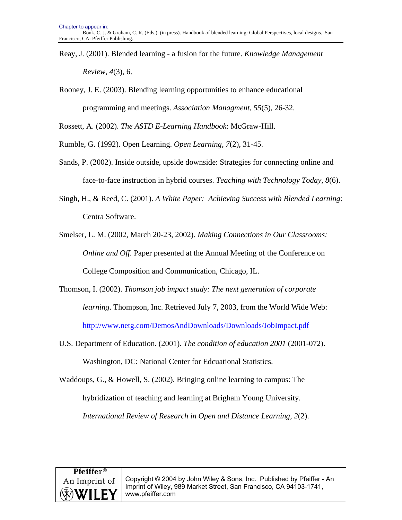- Reay, J. (2001). Blended learning a fusion for the future. *Knowledge Management Review, 4*(3), 6.
- Rooney, J. E. (2003). Blending learning opportunities to enhance educational programming and meetings. *Association Managment, 55*(5), 26-32.

Rossett, A. (2002). *The ASTD E-Learning Handbook*: McGraw-Hill.

Rumble, G. (1992). Open Learning. *Open Learning, 7*(2), 31-45.

- Sands, P. (2002). Inside outside, upside downside: Strategies for connecting online and face-to-face instruction in hybrid courses. *Teaching with Technology Today, 8*(6).
- Singh, H., & Reed, C. (2001). *A White Paper: Achieving Success with Blended Learning*: Centra Software.

Smelser, L. M. (2002, March 20-23, 2002). *Making Connections in Our Classrooms: Online and Off.* Paper presented at the Annual Meeting of the Conference on College Composition and Communication, Chicago, IL.

- Thomson, I. (2002). *Thomson job impact study: The next generation of corporate learning*. Thompson, Inc. Retrieved July 7, 2003, from the World Wide Web: http://www.netg.com/DemosAndDownloads/Downloads/JobImpact.pdf
- U.S. Department of Education. (2001). *The condition of education 2001* (2001-072). Washington, DC: National Center for Edcuational Statistics.

Waddoups, G., & Howell, S. (2002). Bringing online learning to campus: The hybridization of teaching and learning at Brigham Young University.

*International Review of Research in Open and Distance Learning, 2*(2).

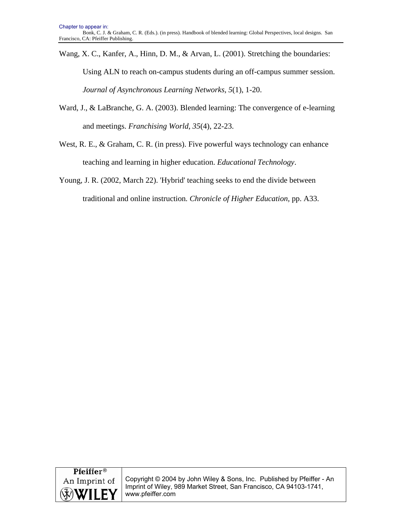Wang, X. C., Kanfer, A., Hinn, D. M., & Arvan, L. (2001). Stretching the boundaries: Using ALN to reach on-campus students during an off-campus summer session. *Journal of Asynchronous Learning Networks, 5*(1), 1-20.

Ward, J., & LaBranche, G. A. (2003). Blended learning: The convergence of e-learning and meetings. *Franchising World, 35*(4), 22-23.

West, R. E., & Graham, C. R. (in press). Five powerful ways technology can enhance teaching and learning in higher education. *Educational Technology*.

Young, J. R. (2002, March 22). 'Hybrid' teaching seeks to end the divide between traditional and online instruction*. Chronicle of Higher Education,* pp. A33.

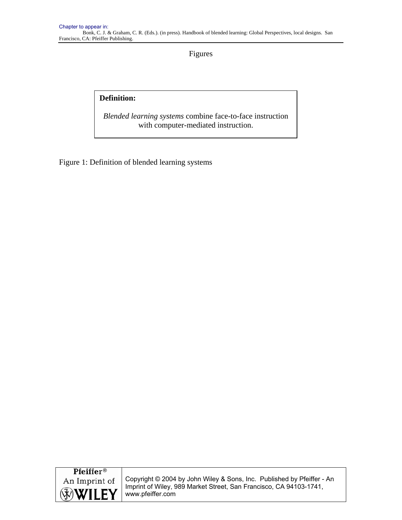Figures

# **Definition:**

*Blended learning systems* combine face-to-face instruction with computer-mediated instruction.

Figure 1: Definition of blended learning systems

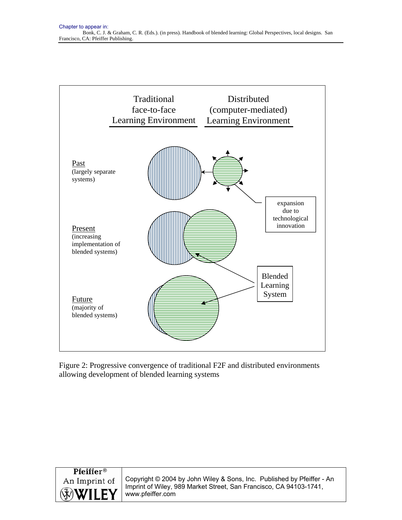

Figure 2: Progressive convergence of traditional F2F and distributed environments allowing development of blended learning systems

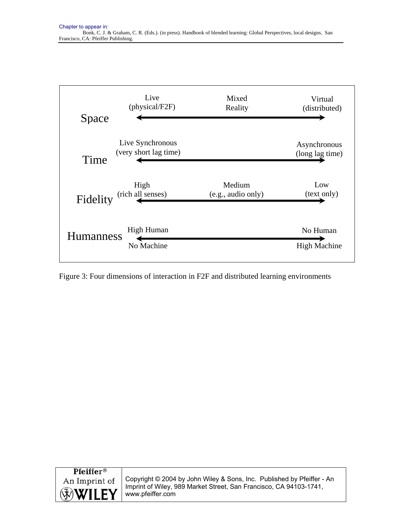

Figure 3: Four dimensions of interaction in F2F and distributed learning environments

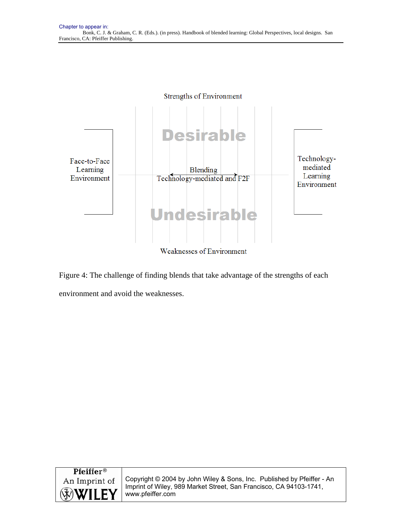

Figure 4: The challenge of finding blends that take advantage of the strengths of each environment and avoid the weaknesses.

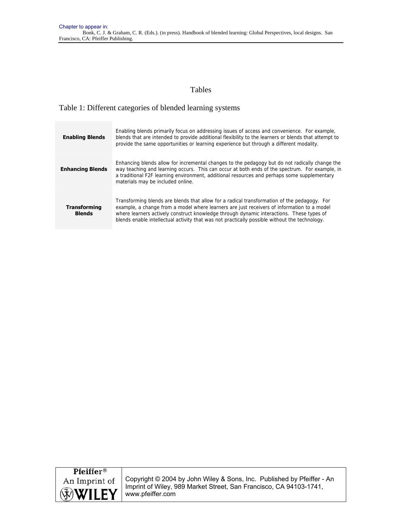## Tables

### Table 1: Different categories of blended learning systems

| <b>Enabling Blends</b>               | Enabling blends primarily focus on addressing issues of access and convenience. For example,<br>blends that are intended to provide additional flexibility to the learners or blends that attempt to<br>provide the same opportunities or learning experience but through a different modality.                                                                                        |
|--------------------------------------|----------------------------------------------------------------------------------------------------------------------------------------------------------------------------------------------------------------------------------------------------------------------------------------------------------------------------------------------------------------------------------------|
| <b>Enhancing Blends</b>              | Enhancing blends allow for incremental changes to the pedagogy but do not radically change the<br>way teaching and learning occurs. This can occur at both ends of the spectrum. For example, in<br>a traditional F2F learning environment, additional resources and perhaps some supplementary<br>materials may be included online.                                                   |
| <b>Transforming</b><br><b>Blends</b> | Transforming blends are blends that allow for a radical transformation of the pedagogy. For<br>example, a change from a model where learners are just receivers of information to a model<br>where learners actively construct knowledge through dynamic interactions. These types of<br>blends enable intellectual activity that was not practically possible without the technology. |